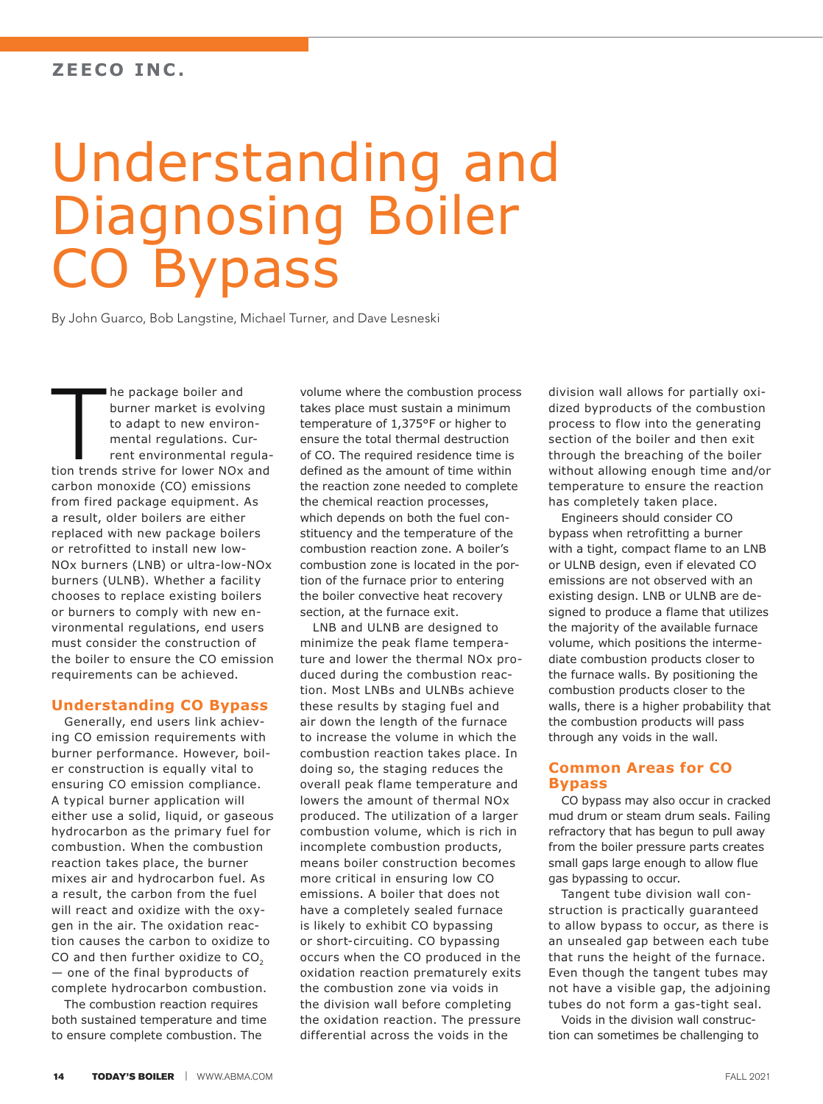# Understanding and Diagnosing Boiler CO Bypass

By John Guarco, Bob Langstine, Michael Turner, and Dave Lesneski

 $\top$ he package boiler and burner market is evolving to adapt to new environmental regulations. Current environmental regulation trends strive for lower NOx and carbon monoxide (CO) emissions from fired package equipment. As a result, older boilers are either replaced with new package boilers or retrofitted to install new low-NOx burners (LNB) or ultra-low-NOx burners (ULNB). Whether a facility chooses to replace existing boilers or burners to comply with new environmental regulations, end users must consider the construction of the boiler to ensure the CO emission requirements can be achieved.

#### **Understanding CO Bypass**

Generally, end users link achieving CO emission requirements with burner performance. However, boiler construction is equally vital to ensuring CO emission compliance. A typical burner application will either use a solid, liquid, or gaseous hydrocarbon as the primary fuel for combustion. When the combustion reaction takes place, the burner mixes air and hydrocarbon fuel. As a result, the carbon from the fuel will react and oxidize with the oxygen in the air. The oxidation reaction causes the carbon to oxidize to CO and then further oxidize to CO<sub>2</sub> — one of the final byproducts of complete hydrocarbon combustion.

The combustion reaction requires both sustained temperature and time to ensure complete combustion. The

volume where the combustion process takes place must sustain a minimum temperature of 1,375°F or higher to ensure the total thermal destruction of CO. The required residence time is defined as the amount of time within the reaction zone needed to complete the chemical reaction processes, which depends on both the fuel constituency and the temperature of the combustion reaction zone. A boiler's combustion zone is located in the portion of the furnace prior to entering the boiler convective heat recovery section, at the furnace exit.

LNB and ULNB are designed to minimize the peak flame temperature and lower the thermal NOx produced during the combustion reaction. Most LNBs and ULNBs achieve these results by staging fuel and air down the length of the furnace to increase the volume in which the combustion reaction takes place. In doing so, the staging reduces the overall peak flame temperature and lowers the amount of thermal NOx produced. The utilization of a larger combustion volume, which is rich in incomplete combustion products, means boiler construction becomes more critical in ensuring low CO emissions. A boiler that does not have a completely sealed furnace is likely to exhibit CO bypassing or short-circuiting. CO bypassing occurs when the CO produced in the oxidation reaction prematurely exits the combustion zone via voids in the division wall before completing the oxidation reaction. The pressure differential across the voids in the

division wall allows for partially oxidized byproducts of the combustion process to flow into the generating section of the boiler and then exit through the breaching of the boiler without allowing enough time and/or temperature to ensure the reaction has completely taken place.

Engineers should consider CO bypass when retrofitting a burner with a tight, compact flame to an LNB or ULNB design, even if elevated CO emissions are not observed with an existing design. LNB or ULNB are designed to produce a flame that utilizes the majority of the available furnace volume, which positions the intermediate combustion products closer to the furnace walls. By positioning the combustion products closer to the walls, there is a higher probability that the combustion products will pass through any voids in the wall.

#### **Common Areas for CO Bypass**

CO bypass may also occur in cracked mud drum or steam drum seals. Failing refractory that has begun to pull away from the boiler pressure parts creates small gaps large enough to allow flue gas bypassing to occur.

Tangent tube division wall construction is practically guaranteed to allow bypass to occur, as there is an unsealed gap between each tube that runs the height of the furnace. Even though the tangent tubes may not have a visible gap, the adjoining tubes do not form a gas-tight seal.

Voids in the division wall construction can sometimes be challenging to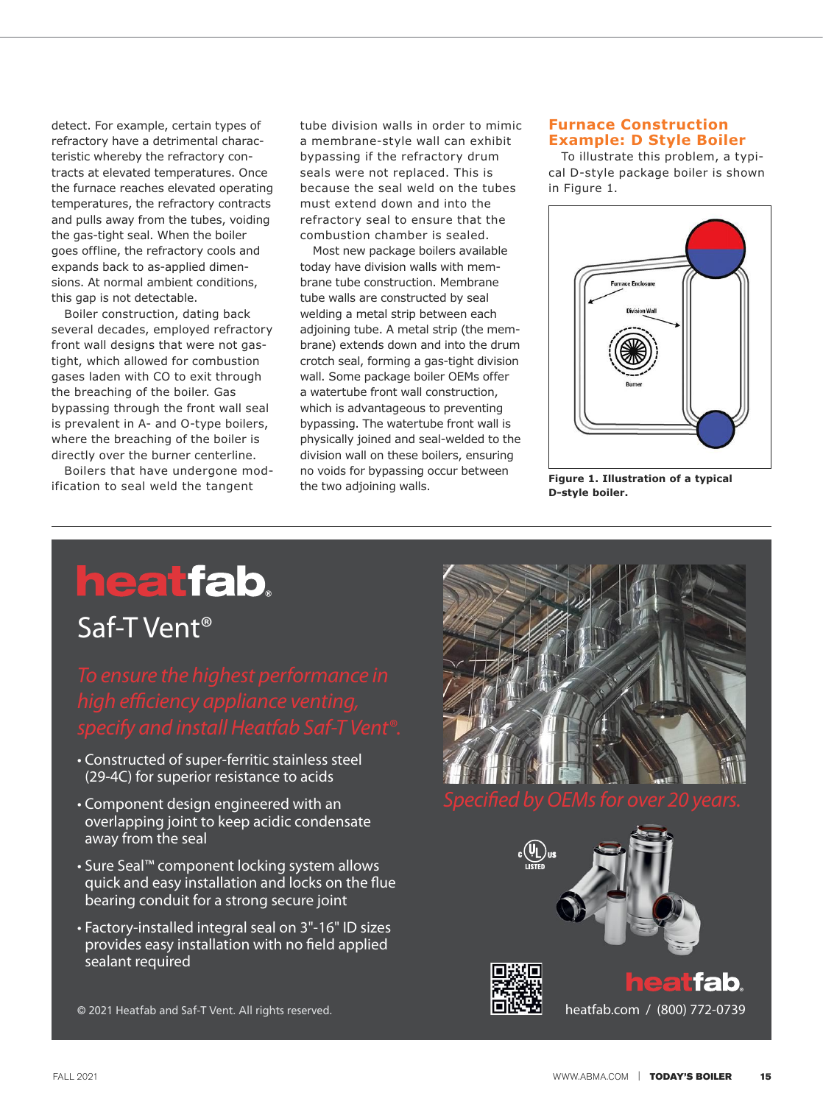detect. For example, certain types of refractory have a detrimental characteristic whereby the refractory contracts at elevated temperatures. Once the furnace reaches elevated operating temperatures, the refractory contracts and pulls away from the tubes, voiding the gas-tight seal. When the boiler goes offline, the refractory cools and expands back to as-applied dimensions. At normal ambient conditions, this gap is not detectable.

Boiler construction, dating back several decades, employed refractory front wall designs that were not gastight, which allowed for combustion gases laden with CO to exit through the breaching of the boiler. Gas bypassing through the front wall seal is prevalent in A- and O-type boilers, where the breaching of the boiler is directly over the burner centerline.

Boilers that have undergone modification to seal weld the tangent

tube division walls in order to mimic a membrane-style wall can exhibit bypassing if the refractory drum seals were not replaced. This is because the seal weld on the tubes must extend down and into the refractory seal to ensure that the combustion chamber is sealed.

Most new package boilers available today have division walls with membrane tube construction. Membrane tube walls are constructed by seal welding a metal strip between each adjoining tube. A metal strip (the membrane) extends down and into the drum crotch seal, forming a gas-tight division wall. Some package boiler OEMs offer a watertube front wall construction, which is advantageous to preventing bypassing. The watertube front wall is physically joined and seal-welded to the division wall on these boilers, ensuring no voids for bypassing occur between the two adjoining walls. **Figure 1. Illustration of a typical** 

### **Furnace Construction Example: D Style Boiler**

**Example: D Style Boiler**  To illustrate this problem, a typical D-style package boiler is shown in Figure 1.



**D-style boiler.**

# **heatfab.**

## Saf-T Vent®

- Constructed of super-ferritic stainless steel (29-4C) for superior resistance to acids
- Component design engineered with an overlapping joint to keep acidic condensate away from the seal
- Sure Seal™ component locking system allows quick and easy installation and locks on the flue bearing conduit for a strong secure joint
- Factory-installed integral seal on 3"-16" ID sizes provides easy installation with no field applied sealant required

© 2021 Heatfab and Saf-T Vent. All rights reserved. https://www.fab.com / (800) 772-0739





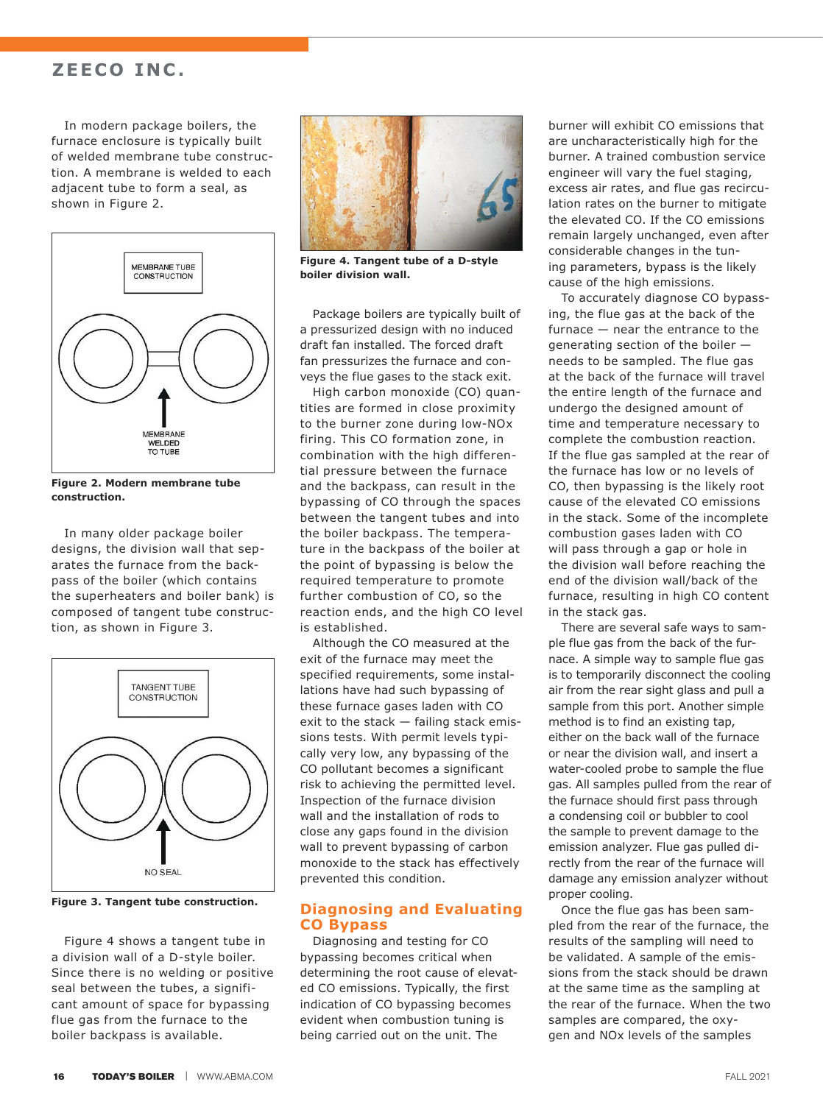### **ZEECO INC.**

In modern package boilers, the furnace enclosure is typically built of welded membrane tube construction. A membrane is welded to each adiacent tube to form a seal, as shown in Figure 2.



**Figure 2. Modern membrane tube construction.**

In many older package boiler designs, the division wall that separates the furnace from the backpass of the boiler (which contains the superheaters and boiler bank) is composed of tangent tube construction, as shown in Figure 3.



**Figure 3. Tangent tube construction.**

Figure 4 shows a tangent tube in a division wall of a D-style boiler. Since there is no welding or positive seal between the tubes, a significant amount of space for bypassing flue gas from the furnace to the boiler backpass is available.



**Figure 4. Tangent tube of a D-style boiler division wall.**

Package boilers are typically built of a pressurized design with no induced draft fan installed. The forced draft fan pressurizes the furnace and conveys the flue gases to the stack exit.

High carbon monoxide (CO) quantities are formed in close proximity to the burner zone during low-NOx firing. This CO formation zone, in combination with the high differential pressure between the furnace and the backpass, can result in the bypassing of CO through the spaces between the tangent tubes and into the boiler backpass. The temperature in the backpass of the boiler at the point of bypassing is below the required temperature to promote further combustion of CO, so the reaction ends, and the high CO level is established.

Although the CO measured at the exit of the furnace may meet the specified requirements, some installations have had such bypassing of these furnace gases laden with CO exit to the stack — failing stack emissions tests. With permit levels typically very low, any bypassing of the CO pollutant becomes a significant risk to achieving the permitted level. Inspection of the furnace division wall and the installation of rods to close any gaps found in the division wall to prevent bypassing of carbon monoxide to the stack has effectively prevented this condition.

#### **Diagnosing and Evaluating CO Bypass**

Diagnosing and testing for CO bypassing becomes critical when determining the root cause of elevated CO emissions. Typically, the first indication of CO bypassing becomes evident when combustion tuning is being carried out on the unit. The

burner will exhibit CO emissions that are uncharacteristically high for the burner. A trained combustion service engineer will vary the fuel staging, excess air rates, and flue gas recirculation rates on the burner to mitigate the elevated CO. If the CO emissions remain largely unchanged, even after considerable changes in the tuning parameters, bypass is the likely cause of the high emissions.

To accurately diagnose CO bypassing, the flue gas at the back of the furnace — near the entrance to the generating section of the boiler needs to be sampled. The flue gas at the back of the furnace will travel the entire length of the furnace and undergo the designed amount of time and temperature necessary to complete the combustion reaction. If the flue gas sampled at the rear of the furnace has low or no levels of CO, then bypassing is the likely root cause of the elevated CO emissions in the stack. Some of the incomplete combustion gases laden with CO will pass through a gap or hole in the division wall before reaching the end of the division wall/back of the furnace, resulting in high CO content in the stack gas.

There are several safe ways to sample flue gas from the back of the furnace. A simple way to sample flue gas is to temporarily disconnect the cooling air from the rear sight glass and pull a sample from this port. Another simple method is to find an existing tap, either on the back wall of the furnace or near the division wall, and insert a water-cooled probe to sample the flue gas. All samples pulled from the rear of the furnace should first pass through a condensing coil or bubbler to cool the sample to prevent damage to the emission analyzer. Flue gas pulled directly from the rear of the furnace will damage any emission analyzer without proper cooling.

Once the flue gas has been sampled from the rear of the furnace, the results of the sampling will need to be validated. A sample of the emissions from the stack should be drawn at the same time as the sampling at the rear of the furnace. When the two samples are compared, the oxygen and NOx levels of the samples